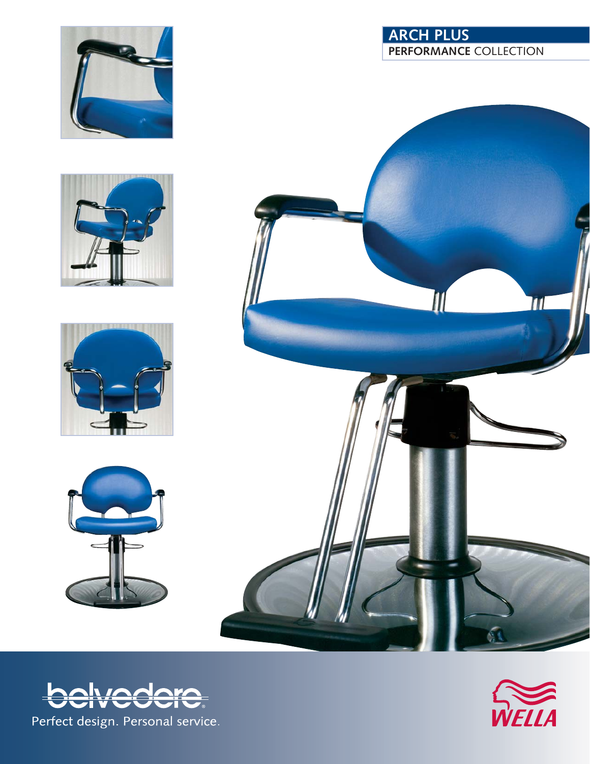